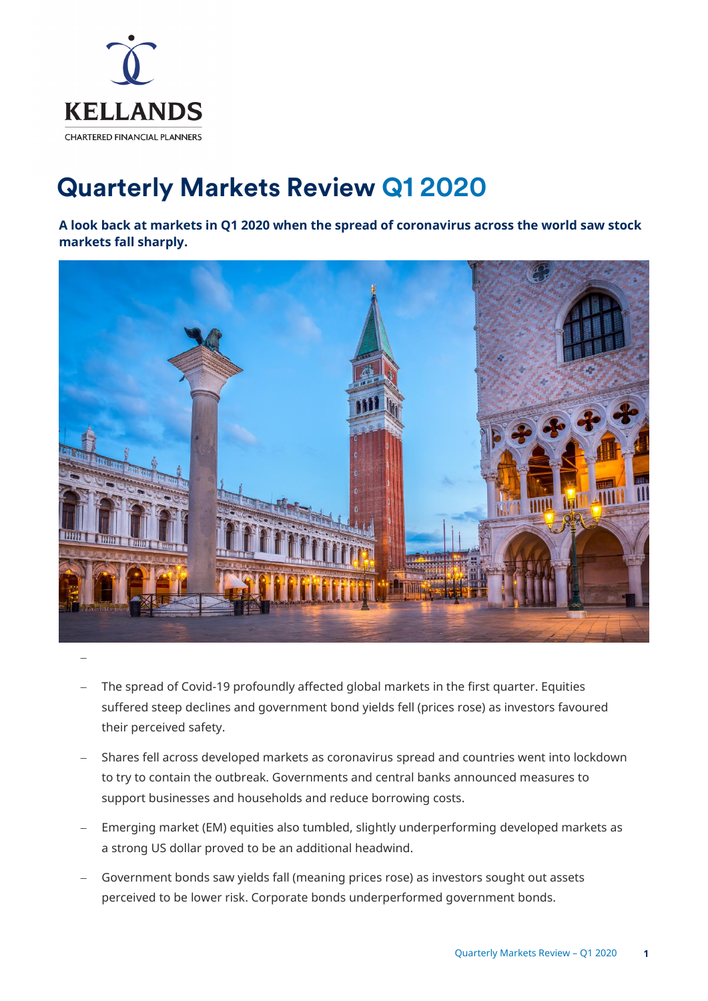

# **Quarterly Markets Review Q1 2020**

**A look back at markets in Q1 2020 when the spread of coronavirus across the world saw stock markets fall sharply.**



- The spread of Covid-19 profoundly affected global markets in the first quarter. Equities suffered steep declines and government bond yields fell (prices rose) as investors favoured their perceived safety.
- − Shares fell across developed markets as coronavirus spread and countries went into lockdown to try to contain the outbreak. Governments and central banks announced measures to support businesses and households and reduce borrowing costs.
- − Emerging market (EM) equities also tumbled, slightly underperforming developed markets as a strong US dollar proved to be an additional headwind.
- Government bonds saw yields fall (meaning prices rose) as investors sought out assets perceived to be lower risk. Corporate bonds underperformed government bonds.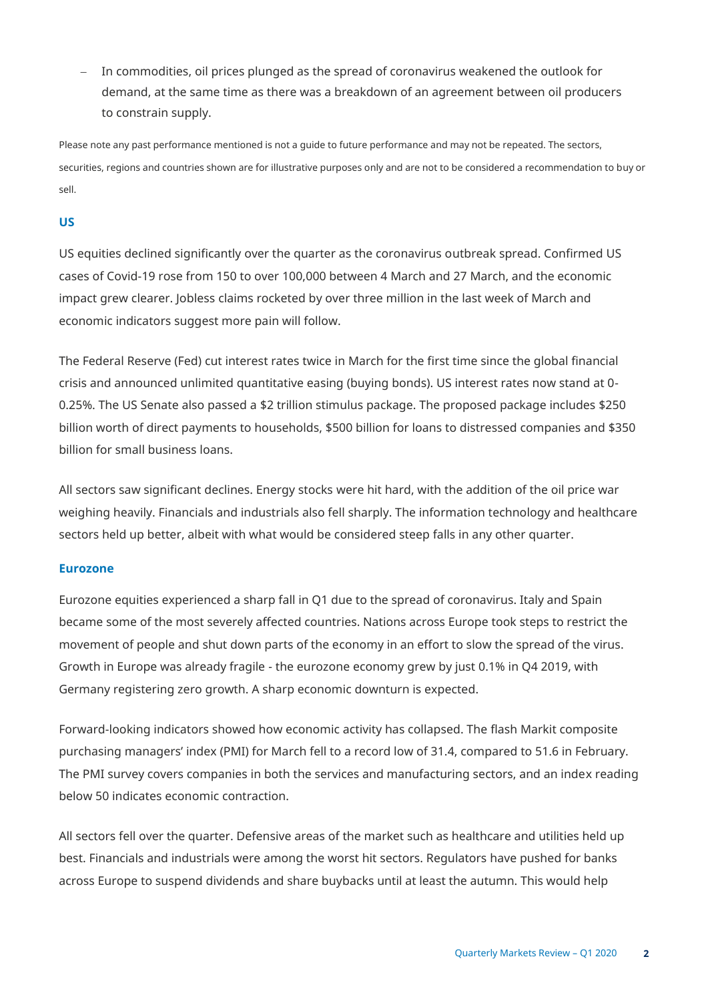− In commodities, oil prices plunged as the spread of coronavirus weakened the outlook for demand, at the same time as there was a breakdown of an agreement between oil producers to constrain supply.

Please note any past performance mentioned is not a guide to future performance and may not be repeated. The sectors, securities, regions and countries shown are for illustrative purposes only and are not to be considered a recommendation to buy or sell.

# **US**

US equities declined significantly over the quarter as the coronavirus outbreak spread. Confirmed US cases of Covid-19 rose from 150 to over 100,000 between 4 March and 27 March, and the economic impact grew clearer. Jobless claims rocketed by over three million in the last week of March and economic indicators suggest more pain will follow.

The Federal Reserve (Fed) cut interest rates twice in March for the first time since the global financial crisis and announced unlimited quantitative easing (buying bonds). US interest rates now stand at 0- 0.25%. The US Senate also passed a \$2 trillion stimulus package. The proposed package includes \$250 billion worth of direct payments to households, \$500 billion for loans to distressed companies and \$350 billion for small business loans.

All sectors saw significant declines. Energy stocks were hit hard, with the addition of the oil price war weighing heavily. Financials and industrials also fell sharply. The information technology and healthcare sectors held up better, albeit with what would be considered steep falls in any other quarter.

## **Eurozone**

Eurozone equities experienced a sharp fall in Q1 due to the spread of coronavirus. Italy and Spain became some of the most severely affected countries. Nations across Europe took steps to restrict the movement of people and shut down parts of the economy in an effort to slow the spread of the virus. Growth in Europe was already fragile - the eurozone economy grew by just 0.1% in Q4 2019, with Germany registering zero growth. A sharp economic downturn is expected.

Forward-looking indicators showed how economic activity has collapsed. The flash Markit composite purchasing managers' index (PMI) for March fell to a record low of 31.4, compared to 51.6 in February. The PMI survey covers companies in both the services and manufacturing sectors, and an index reading below 50 indicates economic contraction.

All sectors fell over the quarter. Defensive areas of the market such as healthcare and utilities held up best. Financials and industrials were among the worst hit sectors. Regulators have pushed for banks across Europe to suspend dividends and share buybacks until at least the autumn. This would help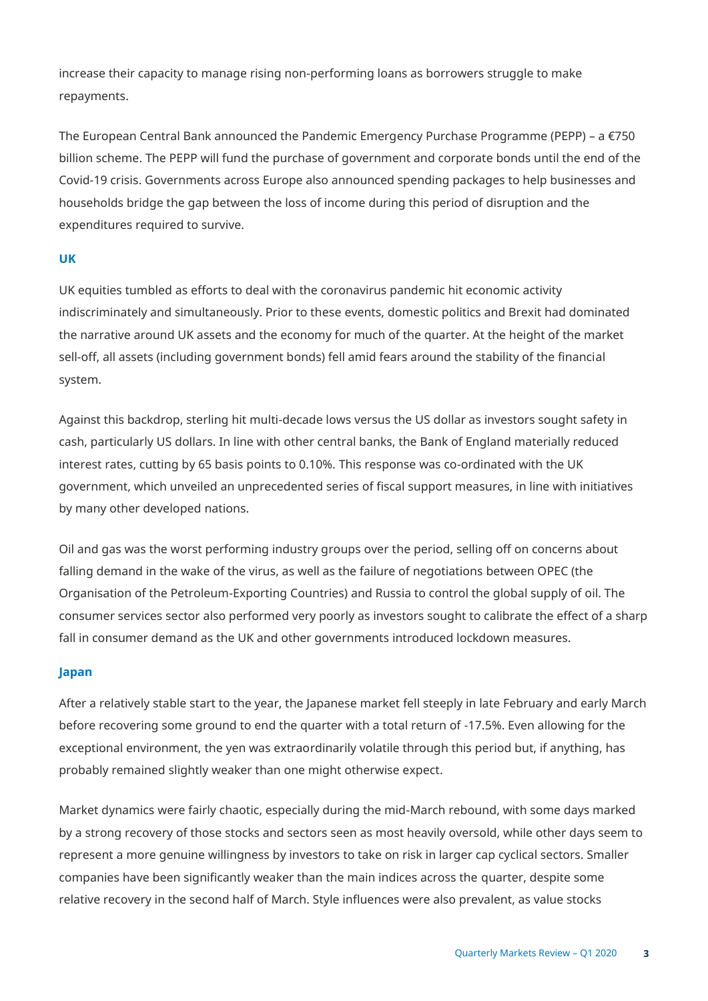increase their capacity to manage rising non-performing loans as borrowers struggle to make repayments.

The European Central Bank announced the Pandemic Emergency Purchase Programme (PEPP) – a €750 billion scheme. The PEPP will fund the purchase of government and corporate bonds until the end of the Covid-19 crisis. Governments across Europe also announced spending packages to help businesses and households bridge the gap between the loss of income during this period of disruption and the expenditures required to survive.

## **UK**

UK equities tumbled as efforts to deal with the coronavirus pandemic hit economic activity indiscriminately and simultaneously. Prior to these events, domestic politics and Brexit had dominated the narrative around UK assets and the economy for much of the quarter. At the height of the market sell-off, all assets (including government bonds) fell amid fears around the stability of the financial system.

Against this backdrop, sterling hit multi-decade lows versus the US dollar as investors sought safety in cash, particularly US dollars. In line with other central banks, the Bank of England materially reduced interest rates, cutting by 65 basis points to 0.10%. This response was co-ordinated with the UK government, which unveiled an unprecedented series of fiscal support measures, in line with initiatives by many other developed nations.

Oil and gas was the worst performing industry groups over the period, selling off on concerns about falling demand in the wake of the virus, as well as the failure of negotiations between OPEC (the Organisation of the Petroleum-Exporting Countries) and Russia to control the global supply of oil. The consumer services sector also performed very poorly as investors sought to calibrate the effect of a sharp fall in consumer demand as the UK and other governments introduced lockdown measures.

## **Japan**

After a relatively stable start to the year, the Japanese market fell steeply in late February and early March before recovering some ground to end the quarter with a total return of -17.5%. Even allowing for the exceptional environment, the yen was extraordinarily volatile through this period but, if anything, has probably remained slightly weaker than one might otherwise expect.

Market dynamics were fairly chaotic, especially during the mid-March rebound, with some days marked by a strong recovery of those stocks and sectors seen as most heavily oversold, while other days seem to represent a more genuine willingness by investors to take on risk in larger cap cyclical sectors. Smaller companies have been significantly weaker than the main indices across the quarter, despite some relative recovery in the second half of March. Style influences were also prevalent, as value stocks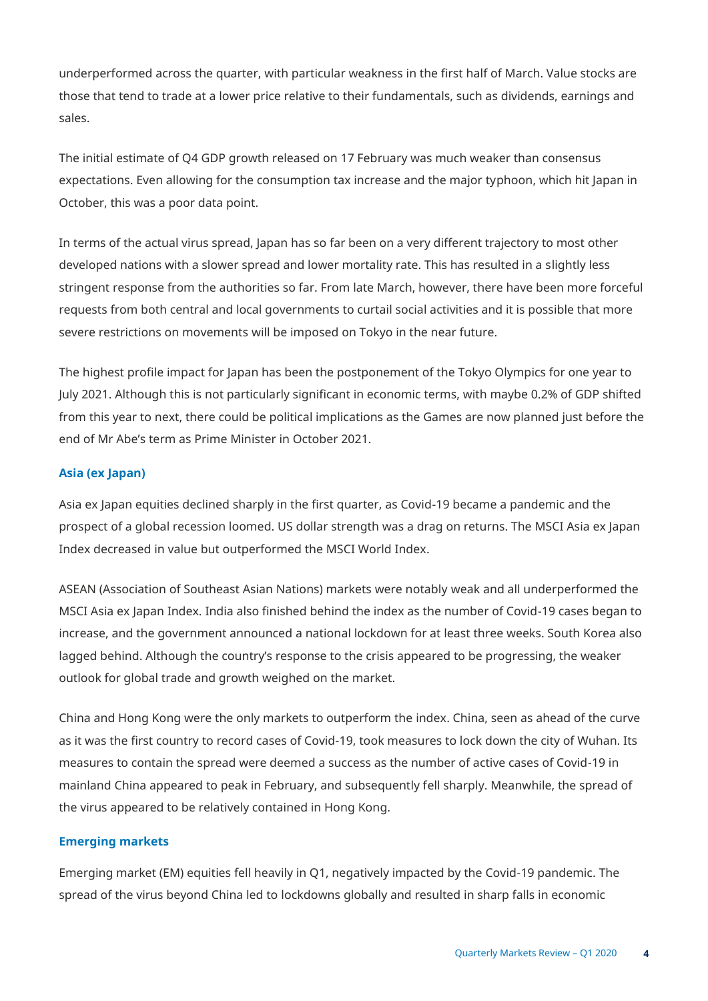underperformed across the quarter, with particular weakness in the first half of March. Value stocks are those that tend to trade at a lower price relative to their fundamentals, such as dividends, earnings and sales.

The initial estimate of Q4 GDP growth released on 17 February was much weaker than consensus expectations. Even allowing for the consumption tax increase and the major typhoon, which hit Japan in October, this was a poor data point.

In terms of the actual virus spread, Japan has so far been on a very different trajectory to most other developed nations with a slower spread and lower mortality rate. This has resulted in a slightly less stringent response from the authorities so far. From late March, however, there have been more forceful requests from both central and local governments to curtail social activities and it is possible that more severe restrictions on movements will be imposed on Tokyo in the near future.

The highest profile impact for Japan has been the postponement of the Tokyo Olympics for one year to July 2021. Although this is not particularly significant in economic terms, with maybe 0.2% of GDP shifted from this year to next, there could be political implications as the Games are now planned just before the end of Mr Abe's term as Prime Minister in October 2021.

## **Asia (ex Japan)**

Asia ex Japan equities declined sharply in the first quarter, as Covid-19 became a pandemic and the prospect of a global recession loomed. US dollar strength was a drag on returns. The MSCI Asia ex Japan Index decreased in value but outperformed the MSCI World Index.

ASEAN (Association of Southeast Asian Nations) markets were notably weak and all underperformed the MSCI Asia ex Japan Index. India also finished behind the index as the number of Covid-19 cases began to increase, and the government announced a national lockdown for at least three weeks. South Korea also lagged behind. Although the country's response to the crisis appeared to be progressing, the weaker outlook for global trade and growth weighed on the market.

China and Hong Kong were the only markets to outperform the index. China, seen as ahead of the curve as it was the first country to record cases of Covid-19, took measures to lock down the city of Wuhan. Its measures to contain the spread were deemed a success as the number of active cases of Covid-19 in mainland China appeared to peak in February, and subsequently fell sharply. Meanwhile, the spread of the virus appeared to be relatively contained in Hong Kong.

## **Emerging markets**

Emerging market (EM) equities fell heavily in Q1, negatively impacted by the Covid-19 pandemic. The spread of the virus beyond China led to lockdowns globally and resulted in sharp falls in economic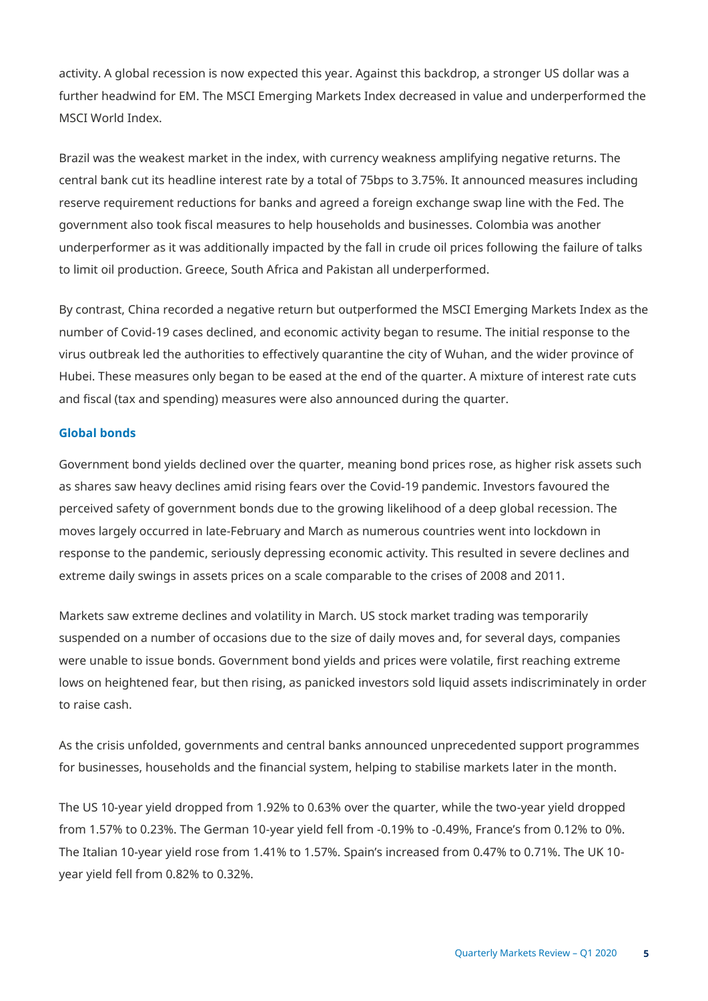activity. A global recession is now expected this year. Against this backdrop, a stronger US dollar was a further headwind for EM. The MSCI Emerging Markets Index decreased in value and underperformed the MSCI World Index.

Brazil was the weakest market in the index, with currency weakness amplifying negative returns. The central bank cut its headline interest rate by a total of 75bps to 3.75%. It announced measures including reserve requirement reductions for banks and agreed a foreign exchange swap line with the Fed. The government also took fiscal measures to help households and businesses. Colombia was another underperformer as it was additionally impacted by the fall in crude oil prices following the failure of talks to limit oil production. Greece, South Africa and Pakistan all underperformed.

By contrast, China recorded a negative return but outperformed the MSCI Emerging Markets Index as the number of Covid-19 cases declined, and economic activity began to resume. The initial response to the virus outbreak led the authorities to effectively quarantine the city of Wuhan, and the wider province of Hubei. These measures only began to be eased at the end of the quarter. A mixture of interest rate cuts and fiscal (tax and spending) measures were also announced during the quarter.

#### **Global bonds**

Government bond yields declined over the quarter, meaning bond prices rose, as higher risk assets such as shares saw heavy declines amid rising fears over the Covid-19 pandemic. Investors favoured the perceived safety of government bonds due to the growing likelihood of a deep global recession. The moves largely occurred in late-February and March as numerous countries went into lockdown in response to the pandemic, seriously depressing economic activity. This resulted in severe declines and extreme daily swings in assets prices on a scale comparable to the crises of 2008 and 2011.

Markets saw extreme declines and volatility in March. US stock market trading was temporarily suspended on a number of occasions due to the size of daily moves and, for several days, companies were unable to issue bonds. Government bond yields and prices were volatile, first reaching extreme lows on heightened fear, but then rising, as panicked investors sold liquid assets indiscriminately in order to raise cash.

As the crisis unfolded, governments and central banks announced unprecedented support programmes for businesses, households and the financial system, helping to stabilise markets later in the month.

The US 10-year yield dropped from 1.92% to 0.63% over the quarter, while the two-year yield dropped from 1.57% to 0.23%. The German 10-year yield fell from -0.19% to -0.49%, France's from 0.12% to 0%. The Italian 10-year yield rose from 1.41% to 1.57%. Spain's increased from 0.47% to 0.71%. The UK 10 year yield fell from 0.82% to 0.32%.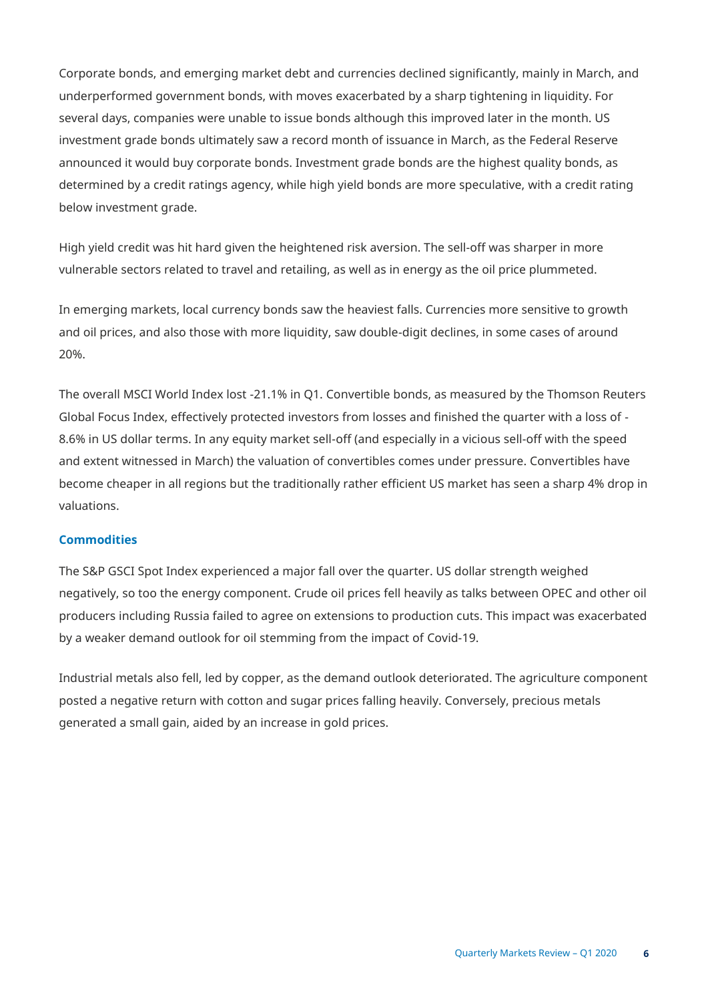Corporate bonds, and emerging market debt and currencies declined significantly, mainly in March, and underperformed government bonds, with moves exacerbated by a sharp tightening in liquidity. For several days, companies were unable to issue bonds although this improved later in the month. US investment grade bonds ultimately saw a record month of issuance in March, as the Federal Reserve announced it would buy corporate bonds. Investment grade bonds are the highest quality bonds, as determined by a credit ratings agency, while high yield bonds are more speculative, with a credit rating below investment grade.

High yield credit was hit hard given the heightened risk aversion. The sell-off was sharper in more vulnerable sectors related to travel and retailing, as well as in energy as the oil price plummeted.

In emerging markets, local currency bonds saw the heaviest falls. Currencies more sensitive to growth and oil prices, and also those with more liquidity, saw double-digit declines, in some cases of around 20%.

The overall MSCI World Index lost -21.1% in Q1. Convertible bonds, as measured by the Thomson Reuters Global Focus Index, effectively protected investors from losses and finished the quarter with a loss of - 8.6% in US dollar terms. In any equity market sell-off (and especially in a vicious sell-off with the speed and extent witnessed in March) the valuation of convertibles comes under pressure. Convertibles have become cheaper in all regions but the traditionally rather efficient US market has seen a sharp 4% drop in valuations.

## **Commodities**

The S&P GSCI Spot Index experienced a major fall over the quarter. US dollar strength weighed negatively, so too the energy component. Crude oil prices fell heavily as talks between OPEC and other oil producers including Russia failed to agree on extensions to production cuts. This impact was exacerbated by a weaker demand outlook for oil stemming from the impact of Covid-19.

Industrial metals also fell, led by copper, as the demand outlook deteriorated. The agriculture component posted a negative return with cotton and sugar prices falling heavily. Conversely, precious metals generated a small gain, aided by an increase in gold prices.